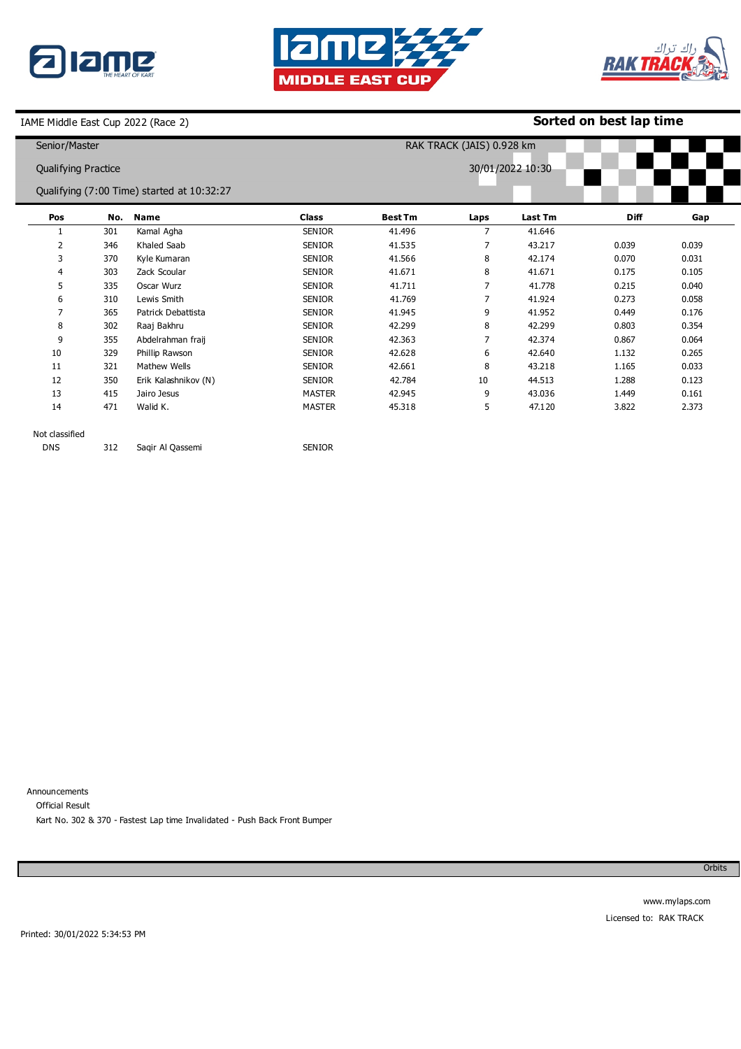





# **Sorted on best lap time**

| Senior/Master<br>RAK TRACK (JAIS) 0.928 km     |     |                                            |               |                |      |         |             |       |
|------------------------------------------------|-----|--------------------------------------------|---------------|----------------|------|---------|-------------|-------|
| 30/01/2022 10:30<br><b>Qualifying Practice</b> |     |                                            |               |                |      |         |             |       |
|                                                |     | Qualifying (7:00 Time) started at 10:32:27 |               |                |      |         |             |       |
| Pos                                            | No. | <b>Name</b>                                | <b>Class</b>  | <b>Best Tm</b> | Laps | Last Tm | <b>Diff</b> | Gap   |
|                                                | 301 | Kamal Agha                                 | <b>SENIOR</b> | 41.496         | 7    | 41.646  |             |       |
| 2                                              | 346 | Khaled Saab                                | <b>SENIOR</b> | 41.535         | 7    | 43.217  | 0.039       | 0.039 |
| 3                                              | 370 | Kyle Kumaran                               | <b>SENIOR</b> | 41.566         | 8    | 42.174  | 0.070       | 0.031 |
| 4                                              | 303 | Zack Scoular                               | <b>SENIOR</b> | 41.671         | 8    | 41.671  | 0.175       | 0.105 |
| 5                                              | 335 | Oscar Wurz                                 | <b>SENIOR</b> | 41.711         | 7    | 41.778  | 0.215       | 0.040 |
| 6                                              | 310 | Lewis Smith                                | <b>SENIOR</b> | 41.769         | 7    | 41.924  | 0.273       | 0.058 |
| $\overline{7}$                                 | 365 | Patrick Debattista                         | <b>SENIOR</b> | 41.945         | 9    | 41.952  | 0.449       | 0.176 |
| 8                                              | 302 | Raaj Bakhru                                | <b>SENIOR</b> | 42.299         | 8    | 42.299  | 0.803       | 0.354 |
| 9                                              | 355 | Abdelrahman fraij                          | <b>SENIOR</b> | 42.363         | 7    | 42.374  | 0.867       | 0.064 |
| 10                                             | 329 | Phillip Rawson                             | <b>SENIOR</b> | 42.628         | 6    | 42.640  | 1.132       | 0.265 |
| 11                                             | 321 | Mathew Wells                               | <b>SENIOR</b> | 42.661         | 8    | 43.218  | 1.165       | 0.033 |
| 12                                             | 350 | Erik Kalashnikov (N)                       | <b>SENIOR</b> | 42.784         | 10   | 44.513  | 1.288       | 0.123 |
| 13                                             | 415 | Jairo Jesus                                | <b>MASTER</b> | 42.945         | 9    | 43.036  | 1.449       | 0.161 |
| 14                                             | 471 | Walid K.                                   | <b>MASTER</b> | 45.318         | 5    | 47.120  | 3.822       | 2.373 |
| Not classified                                 |     |                                            |               |                |      |         |             |       |
| <b>DNS</b>                                     | 312 | Sagir Al Qassemi                           | <b>SENIOR</b> |                |      |         |             |       |

Announcements Official Result Kart No. 302 & 370 - Fastest Lap time Invalidated - Push Back Front Bumper

Orbits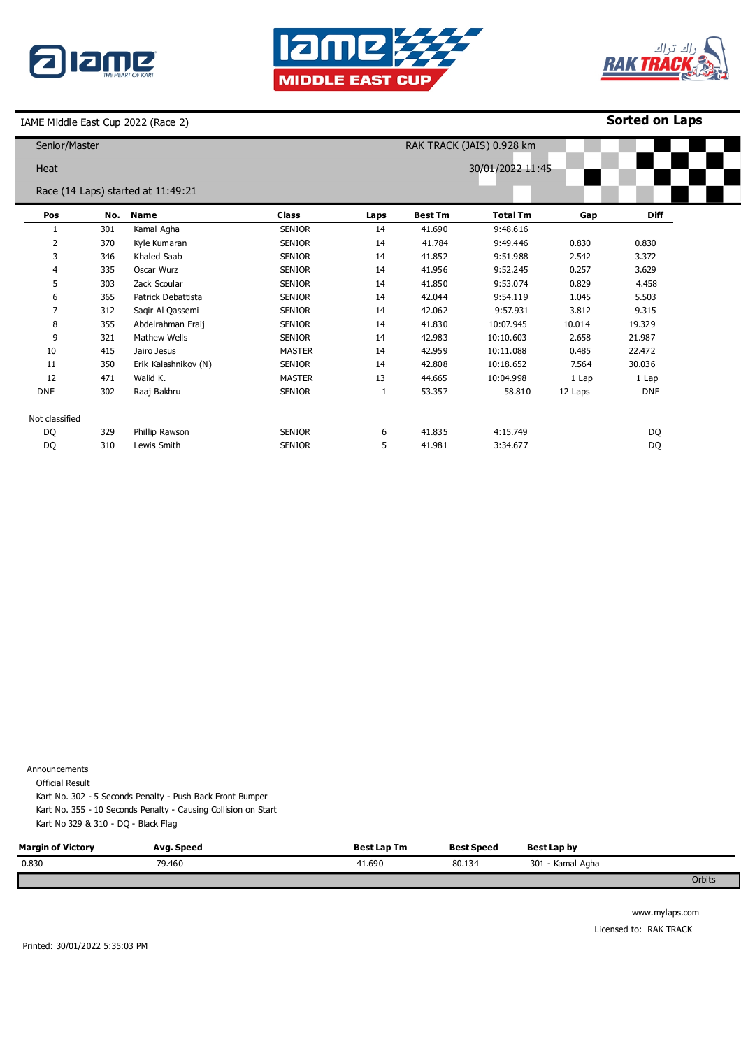





**Sorted on Laps**

| Senior/Master  |     |                                    |                  |      | RAK TRACK (JAIS) 0.928 km |                 |         |            |  |  |
|----------------|-----|------------------------------------|------------------|------|---------------------------|-----------------|---------|------------|--|--|
| Heat           |     |                                    | 30/01/2022 11:45 |      |                           |                 |         |            |  |  |
|                |     | Race (14 Laps) started at 11:49:21 |                  |      |                           |                 |         |            |  |  |
| Pos            | No. | Name                               | <b>Class</b>     | Laps | <b>Best Tm</b>            | <b>Total Tm</b> | Gap     | Diff       |  |  |
|                | 301 | Kamal Agha                         | <b>SENIOR</b>    | 14   | 41.690                    | 9:48.616        |         |            |  |  |
| $\overline{2}$ | 370 | Kyle Kumaran                       | <b>SENIOR</b>    | 14   | 41.784                    | 9:49.446        | 0.830   | 0.830      |  |  |
| 3              | 346 | Khaled Saab                        | <b>SENIOR</b>    | 14   | 41.852                    | 9:51.988        | 2.542   | 3.372      |  |  |
| 4              | 335 | Oscar Wurz                         | <b>SENIOR</b>    | 14   | 41.956                    | 9:52.245        | 0.257   | 3.629      |  |  |
| 5              | 303 | Zack Scoular                       | <b>SENIOR</b>    | 14   | 41.850                    | 9:53.074        | 0.829   | 4.458      |  |  |
| 6              | 365 | Patrick Debattista                 | <b>SENIOR</b>    | 14   | 42.044                    | 9:54.119        | 1.045   | 5.503      |  |  |
| $\overline{7}$ | 312 | Saqir Al Qassemi                   | <b>SENIOR</b>    | 14   | 42.062                    | 9:57.931        | 3.812   | 9.315      |  |  |
| 8              | 355 | Abdelrahman Fraij                  | <b>SENIOR</b>    | 14   | 41.830                    | 10:07.945       | 10.014  | 19.329     |  |  |
| 9              | 321 | Mathew Wells                       | <b>SENIOR</b>    | 14   | 42.983                    | 10:10.603       | 2.658   | 21.987     |  |  |
| 10             | 415 | Jairo Jesus                        | <b>MASTER</b>    | 14   | 42.959                    | 10:11.088       | 0.485   | 22.472     |  |  |
| 11             | 350 | Erik Kalashnikov (N)               | <b>SENIOR</b>    | 14   | 42.808                    | 10:18.652       | 7.564   | 30.036     |  |  |
| 12             | 471 | Walid K.                           | <b>MASTER</b>    | 13   | 44.665                    | 10:04.998       | 1 Lap   | 1 Lap      |  |  |
| <b>DNF</b>     | 302 | Raaj Bakhru                        | <b>SENIOR</b>    | 1    | 53.357                    | 58.810          | 12 Laps | <b>DNF</b> |  |  |
| Not classified |     |                                    |                  |      |                           |                 |         |            |  |  |
| DQ             | 329 | Phillip Rawson                     | <b>SENIOR</b>    | 6    | 41.835                    | 4:15.749        |         | DQ         |  |  |
| DQ             | 310 | Lewis Smith                        | <b>SENIOR</b>    | 5    | 41.981                    | 3:34.677        |         | <b>DQ</b>  |  |  |

Announcements

Official Result

Kart No. 302 - 5 Seconds Penalty - Push Back Front Bumper Kart No. 355 - 10 Seconds Penalty - Causing Collision on Start Kart No 329 & 310 - DQ - Black Flag

| <b>Margin of Victory</b> | Avg. Speed | Best Lap Tm | Best Speed | Best Lap by      |        |
|--------------------------|------------|-------------|------------|------------------|--------|
| 0.830                    | 79.460     | 41.690      | 80.134     | 301 - Kamal Agha |        |
|                          |            |             |            |                  | Orbits |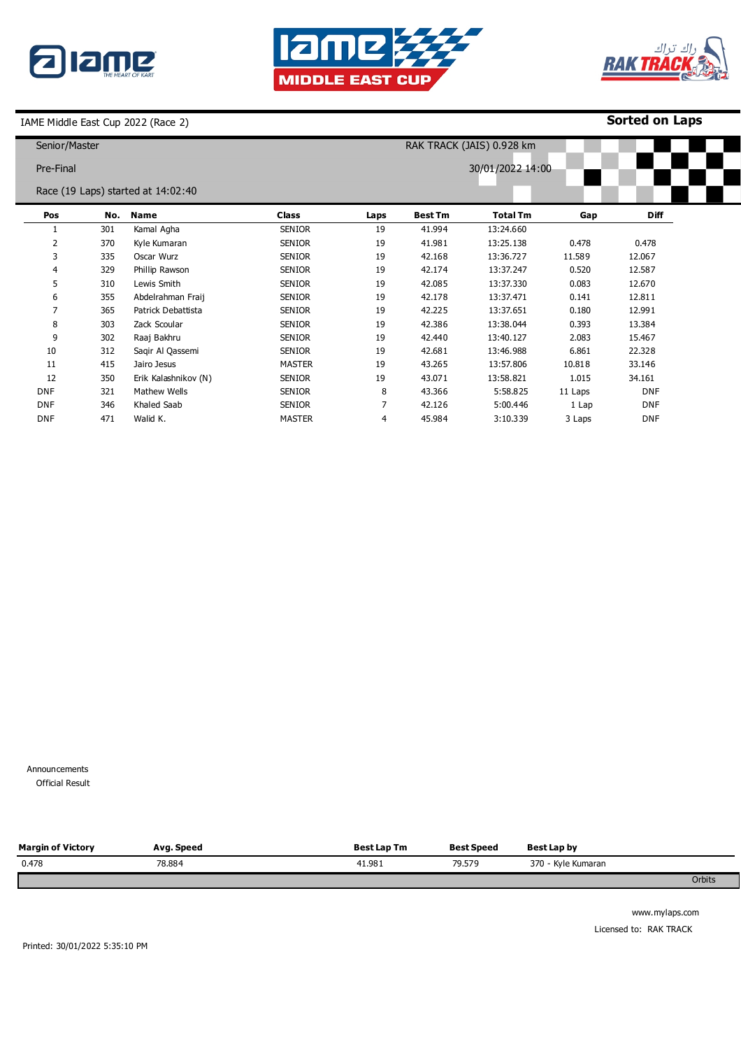





**Sorted on Laps**

| Senior/Master |     |                                    |               |      | RAK TRACK (JAIS) 0.928 km |                  |         |             |  |  |
|---------------|-----|------------------------------------|---------------|------|---------------------------|------------------|---------|-------------|--|--|
| Pre-Final     |     |                                    |               |      |                           | 30/01/2022 14:00 |         |             |  |  |
|               |     | Race (19 Laps) started at 14:02:40 |               |      |                           |                  |         |             |  |  |
| Pos           | No. | <b>Name</b>                        | <b>Class</b>  | Laps | <b>Best Tm</b>            | <b>Total Tm</b>  | Gap     | <b>Diff</b> |  |  |
| 1             | 301 | Kamal Agha                         | <b>SENIOR</b> | 19   | 41.994                    | 13:24.660        |         |             |  |  |
| 2             | 370 | Kyle Kumaran                       | <b>SENIOR</b> | 19   | 41.981                    | 13:25.138        | 0.478   | 0.478       |  |  |
| 3             | 335 | Oscar Wurz                         | <b>SENIOR</b> | 19   | 42.168                    | 13:36.727        | 11.589  | 12.067      |  |  |
| 4             | 329 | Phillip Rawson                     | <b>SENIOR</b> | 19   | 42.174                    | 13:37.247        | 0.520   | 12.587      |  |  |
| 5             | 310 | Lewis Smith                        | <b>SENIOR</b> | 19   | 42.085                    | 13:37.330        | 0.083   | 12.670      |  |  |
| 6             | 355 | Abdelrahman Fraij                  | <b>SENIOR</b> | 19   | 42.178                    | 13:37.471        | 0.141   | 12.811      |  |  |
|               | 365 | Patrick Debattista                 | <b>SENIOR</b> | 19   | 42.225                    | 13:37.651        | 0.180   | 12.991      |  |  |
| 8             | 303 | Zack Scoular                       | <b>SENIOR</b> | 19   | 42.386                    | 13:38.044        | 0.393   | 13.384      |  |  |
| 9             | 302 | Raaj Bakhru                        | <b>SENIOR</b> | 19   | 42.440                    | 13:40.127        | 2.083   | 15.467      |  |  |
| 10            | 312 | Sagir Al Qassemi                   | <b>SENIOR</b> | 19   | 42.681                    | 13:46.988        | 6.861   | 22.328      |  |  |
| 11            | 415 | Jairo Jesus                        | <b>MASTER</b> | 19   | 43.265                    | 13:57.806        | 10.818  | 33.146      |  |  |
| 12            | 350 | Erik Kalashnikov (N)               | <b>SENIOR</b> | 19   | 43.071                    | 13:58.821        | 1.015   | 34.161      |  |  |
| <b>DNF</b>    | 321 | Mathew Wells                       | <b>SENIOR</b> | 8    | 43.366                    | 5:58.825         | 11 Laps | <b>DNF</b>  |  |  |
| <b>DNF</b>    | 346 | Khaled Saab                        | <b>SENIOR</b> | 7    | 42.126                    | 5:00.446         | 1 Lap   | <b>DNF</b>  |  |  |
| <b>DNF</b>    | 471 | Walid K.                           | <b>MASTER</b> | 4    | 45.984                    | 3:10.339         | 3 Laps  | <b>DNF</b>  |  |  |

Announcements

0 Official Result

| <b>Margin of Victory</b> | Avg. Speed | <b>Best Lap Tm</b> | <b>Best Speed</b> | Best Lap by        |        |
|--------------------------|------------|--------------------|-------------------|--------------------|--------|
| 0.478                    | 78.884     | 41.981             | 79.579            | 370 - Kyle Kumaran |        |
|                          |            |                    |                   |                    | Orbits |